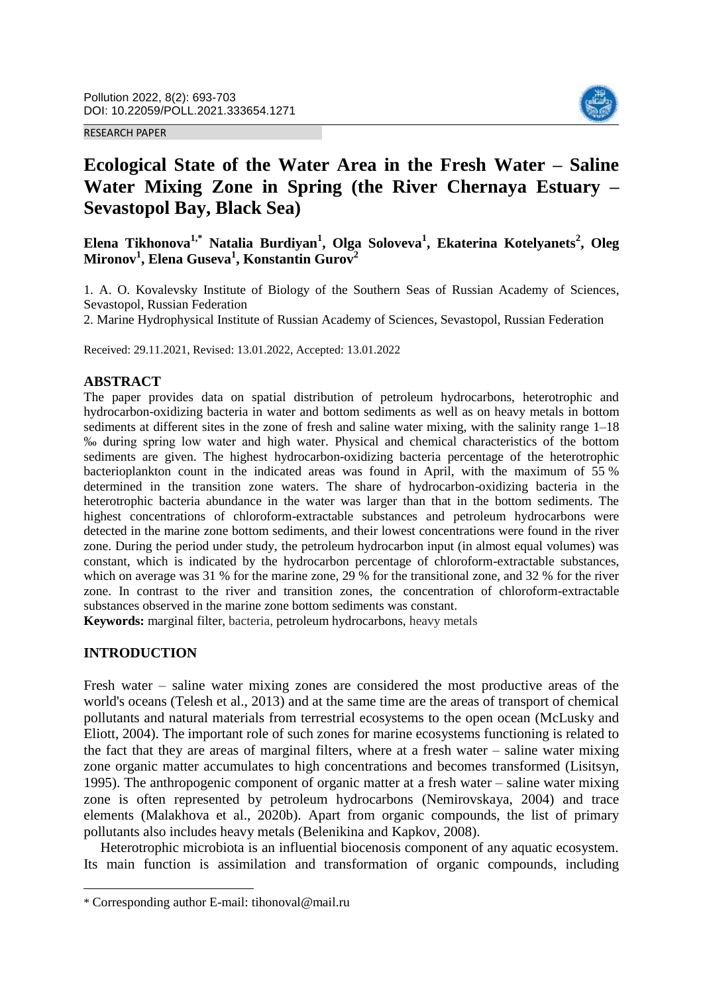#### RESEARCH PAPER



# **Ecological State of the Water Area in the Fresh Water – Saline Water Mixing Zone in Spring (the River Chernaya Estuary – Sevastopol Bay, Black Sea)**

**Elena Tikhonova1,\* Natalia Burdiyan<sup>1</sup> , Olga Soloveva<sup>1</sup> , Ekaterina Kotelyanets<sup>2</sup> , Oleg Mironov<sup>1</sup> , Elena Guseva<sup>1</sup> , Konstantin Gurov<sup>2</sup>**

1. A. O. Kovalevsky Institute of Biology of the Southern Seas of Russian Academy of Sciences, Sevastopol, Russian Federation

2. Marine Hydrophysical Institute of Russian Academy of Sciences, Sevastopol, Russian Federation

Received: 29.11.2021, Revised: 13.01.2022, Accepted: 13.01.2022

## **ABSTRACT**

The paper provides data on spatial distribution of petroleum hydrocarbons, heterotrophic and hydrocarbon-oxidizing bacteria in water and bottom sediments as well as on heavy metals in bottom sediments at different sites in the zone of fresh and saline water mixing, with the salinity range 1–18 ‰ during spring low water and high water. Physical and chemical characteristics of the bottom sediments are given. The highest hydrocarbon-oxidizing bacteria percentage of the heterotrophic bacterioplankton count in the indicated areas was found in April, with the maximum of 55 % determined in the transition zone waters. The share of hydrocarbon-oxidizing bacteria in the heterotrophic bacteria abundance in the water was larger than that in the bottom sediments. The highest concentrations of chloroform-extractable substances and petroleum hydrocarbons were detected in the marine zone bottom sediments, and their lowest concentrations were found in the river zone. During the period under study, the petroleum hydrocarbon input (in almost equal volumes) was constant, which is indicated by the hydrocarbon percentage of chloroform-extractable substances, which on average was 31 % for the marine zone, 29 % for the transitional zone, and 32 % for the river zone. In contrast to the river and transition zones, the concentration of chloroform-extractable substances observed in the marine zone bottom sediments was constant.

**Keywords:** marginal filter, bacteria, petroleum hydrocarbons, heavy metals

## **INTRODUCTION**

l

Fresh water – saline water mixing zones are considered the most productive areas of the world's oceans (Telesh et al., 2013) and at the same time are the areas of transport of chemical pollutants and natural materials from terrestrial ecosystems to the open ocean (McLusky and Eliott, 2004). The important role of such zones for marine ecosystems functioning is related to the fact that they are areas of marginal filters, where at a fresh water – saline water mixing zone organic matter accumulates to high concentrations and becomes transformed (Lisitsyn, 1995). The anthropogenic component of organic matter at a fresh water – saline water mixing zone is often represented by petroleum hydrocarbons (Nemirovskaya, 2004) and trace elements (Malakhova et al., 2020b). Apart from organic compounds, the list of primary pollutants also includes heavy metals (Belenikina and Kapkov, 2008).

Heterotrophic microbiota is an influential biocenosis component of any aquatic ecosystem. Its main function is assimilation and transformation of organic compounds, including

<sup>\*</sup> Corresponding author E-mail: tihonoval@mail.ru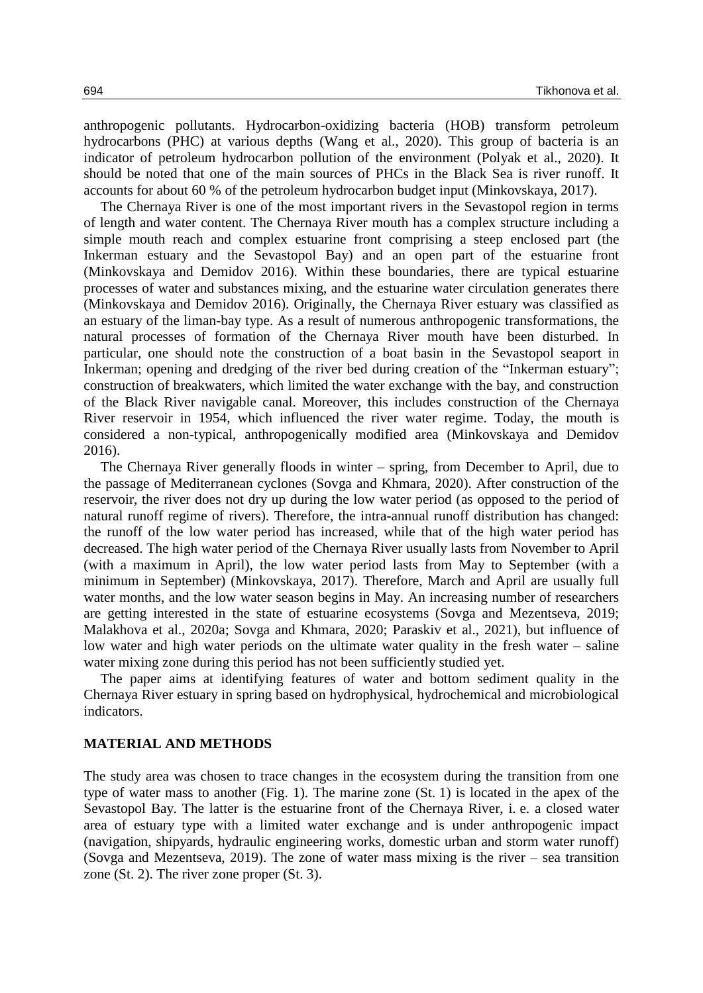anthropogenic pollutants. Hydrocarbon-oxidizing bacteria (HOB) transform petroleum hydrocarbons (PHC) at various depths (Wang et al., 2020). This group of bacteria is an indicator of petroleum hydrocarbon pollution of the environment (Polyak et al., 2020). It should be noted that one of the main sources of PHCs in the Black Sea is river runoff. It accounts for about 60 % of the petroleum hydrocarbon budget input (Minkovskaya, 2017).

The Chernaya River is one of the most important rivers in the Sevastopol region in terms of length and water content. The Chernaya River mouth has a complex structure including a simple mouth reach and complex estuarine front comprising a steep enclosed part (the Inkerman estuary and the Sevastopol Bay) and an open part of the estuarine front (Minkovskaya and Demidov 2016). Within these boundaries, there are typical estuarine processes of water and substances mixing, and the estuarine water circulation generates there (Minkovskaya and Demidov 2016). Originally, the Chernaya River estuary was classified as an estuary of the liman-bay type. As a result of numerous anthropogenic transformations, the natural processes of formation of the Chernaya River mouth have been disturbed. In particular, one should note the construction of a boat basin in the Sevastopol seaport in Inkerman; opening and dredging of the river bed during creation of the "Inkerman estuary"; construction of breakwaters, which limited the water exchange with the bay, and construction of the Black River navigable canal. Moreover, this includes construction of the Chernaya River reservoir in 1954, which influenced the river water regime. Today, the mouth is considered a non-typical, anthropogenically modified area (Minkovskaya and Demidov 2016).

The Chernaya River generally floods in winter – spring, from December to April, due to the passage of Mediterranean cyclones (Sovga and Khmara, 2020). After construction of the reservoir, the river does not dry up during the low water period (as opposed to the period of natural runoff regime of rivers). Therefore, the intra-annual runoff distribution has changed: the runoff of the low water period has increased, while that of the high water period has decreased. The high water period of the Chernaya River usually lasts from November to April (with a maximum in April), the low water period lasts from May to September (with a minimum in September) (Minkovskaya, 2017). Therefore, March and April are usually full water months, and the low water season begins in May. An increasing number of researchers are getting interested in the state of estuarine ecosystems (Sovga and Mezentseva, 2019; Malakhova et al., 2020a; Sovga and Khmara, 2020; Paraskiv et al., 2021), but influence of low water and high water periods on the ultimate water quality in the fresh water – saline water mixing zone during this period has not been sufficiently studied yet.

The paper aims at identifying features of water and bottom sediment quality in the Chernaya River estuary in spring based on hydrophysical, hydrochemical and microbiological indicators.

#### **MATERIAL AND METHODS**

The study area was chosen to trace changes in the ecosystem during the transition from one type of water mass to another (Fig. 1). The marine zone (St. 1) is located in the apex of the Sevastopol Bay. The latter is the estuarine front of the Chernaya River, i. e. a closed water area of estuary type with a limited water exchange and is under anthropogenic impact (navigation, shipyards, hydraulic engineering works, domestic urban and storm water runoff) (Sovga and Mezentseva, 2019). The zone of water mass mixing is the river – sea transition zone (St. 2). The river zone proper (St. 3).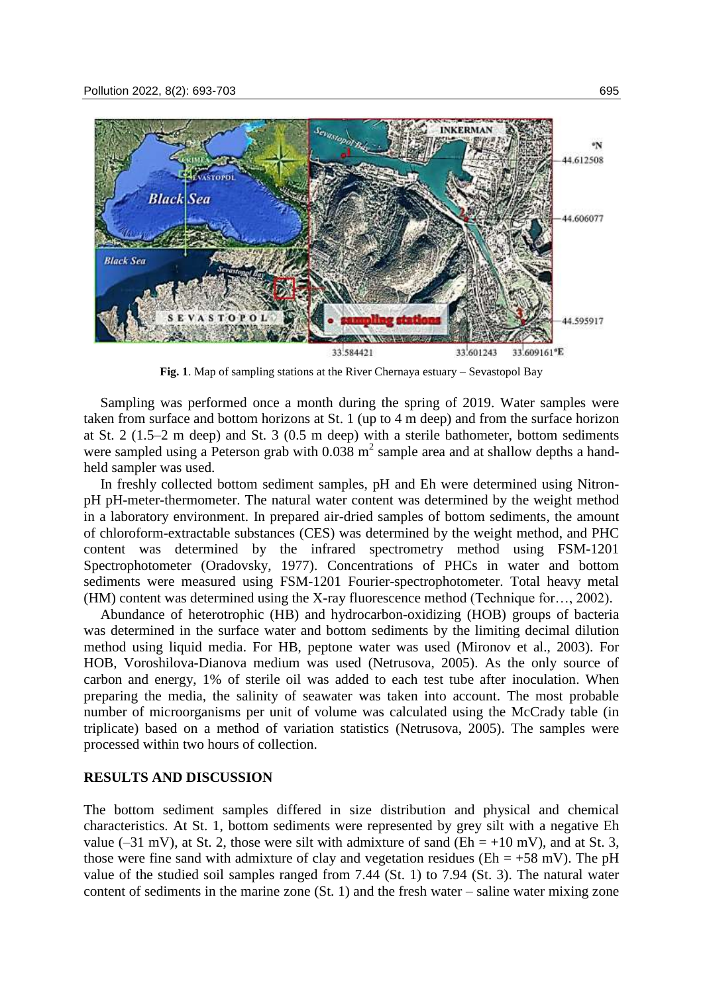

**Fig. 1**. Map of sampling stations at the River Chernaya estuary – Sevastopol Bay

Sampling was performed once a month during the spring of 2019. Water samples were taken from surface and bottom horizons at St. 1 (up to 4 m deep) and from the surface horizon at St. 2 (1.5–2 m deep) and St. 3 (0.5 m deep) with a sterile bathometer, bottom sediments were sampled using a Peterson grab with  $0.038$  m<sup>2</sup> sample area and at shallow depths a handheld sampler was used.

In freshly collected bottom sediment samples, pH and Eh were determined using NitronpH pH-meter-thermometer. The natural water content was determined by the weight method in a laboratory environment. In prepared air-dried samples of bottom sediments, the amount of chloroform-extractable substances (CES) was determined by the weight method, and PHC content was determined by the infrared spectrometry method using FSM-1201 Spectrophotometer (Oradovsky, 1977). Concentrations of PHCs in water and bottom sediments were measured using FSM-1201 Fourier-spectrophotometer. Total heavy metal (HM) content was determined using the X-ray fluorescence method (Technique for…, 2002).

Abundance of heterotrophic (HB) and hydrocarbon-oxidizing (HOB) groups of bacteria was determined in the surface water and bottom sediments by the limiting decimal dilution method using liquid media. For HB, peptone water was used (Mironov et al., 2003). For HOB, Voroshilova-Dianova medium was used (Netrusova, 2005). As the only source of carbon and energy, 1% of sterile oil was added to each test tube after inoculation. When preparing the media, the salinity of seawater was taken into account. The most probable number of microorganisms per unit of volume was calculated using the McCrady table (in triplicate) based on a method of variation statistics (Netrusova, 2005). The samples were processed within two hours of collection.

#### **RESULTS AND DISCUSSION**

The bottom sediment samples differed in size distribution and physical and chemical characteristics. At St. 1, bottom sediments were represented by grey silt with a negative Еh value (–31 mV), at St. 2, those were silt with admixture of sand (Eh = +10 mV), and at St. 3, those were fine sand with admixture of clay and vegetation residues ( $Eh = +58$  mV). The pH value of the studied soil samples ranged from 7.44 (St. 1) to 7.94 (St. 3). The natural water content of sediments in the marine zone (St. 1) and the fresh water – saline water mixing zone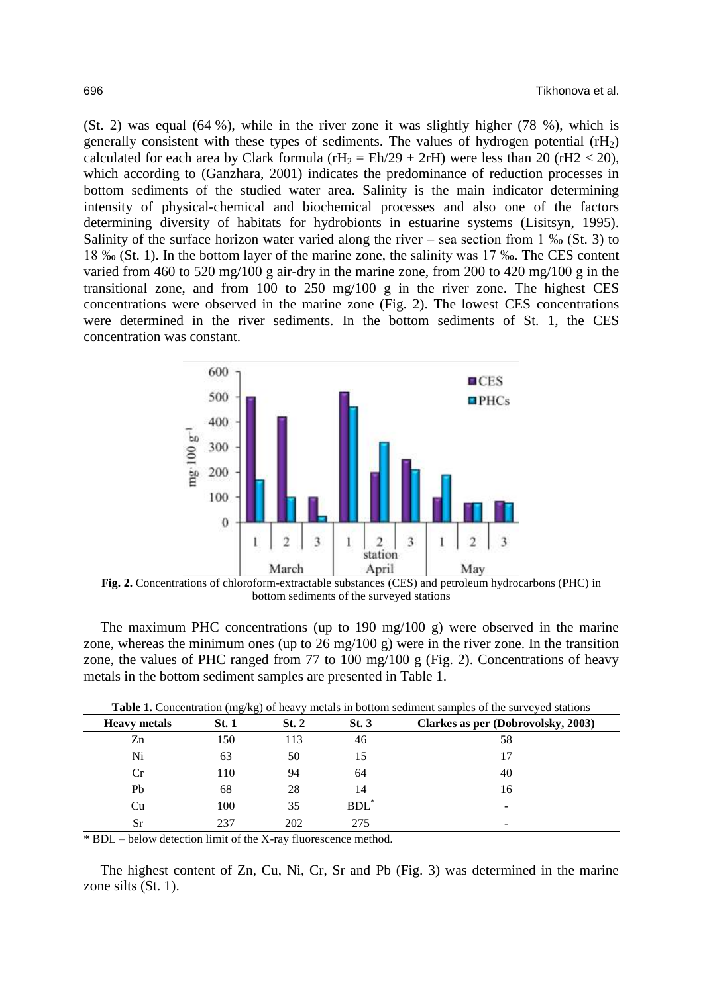(St. 2) was equal (64 %), while in the river zone it was slightly higher (78 %), which is generally consistent with these types of sediments. The values of hydrogen potential  $(rH_2)$ calculated for each area by Clark formula ( $rH_2 = Eh/29 + 2rH$ ) were less than 20 ( $rH_2 < 20$ ), which according to (Ganzhara, 2001) indicates the predominance of reduction processes in bottom sediments of the studied water area. Salinity is the main indicator determining intensity of physical-chemical and biochemical processes and also one of the factors determining diversity of habitats for hydrobionts in estuarine systems (Lisitsyn, 1995). Salinity of the surface horizon water varied along the river – sea section from 1  $\%$  (St. 3) to 18 ‰ (St. 1). In the bottom layer of the marine zone, the salinity was 17 ‰. The CES content varied from 460 to 520 mg/100 g air-dry in the marine zone, from 200 to 420 mg/100 g in the transitional zone, and from 100 to 250 mg/100 g in the river zone. The highest CES concentrations were observed in the marine zone (Fig. 2). The lowest CES concentrations were determined in the river sediments. In the bottom sediments of St. 1, the CES concentration was constant.



**Fig. 2.** Concentrations of chloroform-extractable substances (CES) and petroleum hydrocarbons (PHC) in bottom sediments of the surveyed stations

The maximum PHC concentrations (up to 190 mg/100 g) were observed in the marine zone, whereas the minimum ones (up to 26 mg/100 g) were in the river zone. In the transition zone, the values of PHC ranged from 77 to 100 mg/100 g (Fig. 2). Concentrations of heavy metals in the bottom sediment samples are presented in Table 1.

|                     | o<br><i>o</i> |       |         |                                    |
|---------------------|---------------|-------|---------|------------------------------------|
| <b>Heavy metals</b> | <b>St. 1</b>  | St. 2 | St.3    | Clarkes as per (Dobrovolsky, 2003) |
| Zn                  | 150           | 113   | 46      | 58                                 |
| Ni                  | 63            | 50    |         |                                    |
| Cr                  | 110           | 94    | 64      | 40                                 |
| Pb                  | 68            | 28    | 14      | 16                                 |
| Cu                  | 100           | 35    | $BDL^*$ |                                    |
| Sr                  | 237           | 202   | 275     | -                                  |

**Table 1.** Concentration (mg/kg) of heavy metals in bottom sediment samples of the surveyed stations

\* BDL – below detection limit of the X-ray fluorescence method.

The highest content of Zn, Cu, Ni, Cr, Sr and Pb (Fig. 3) was determined in the marine zone silts (St. 1).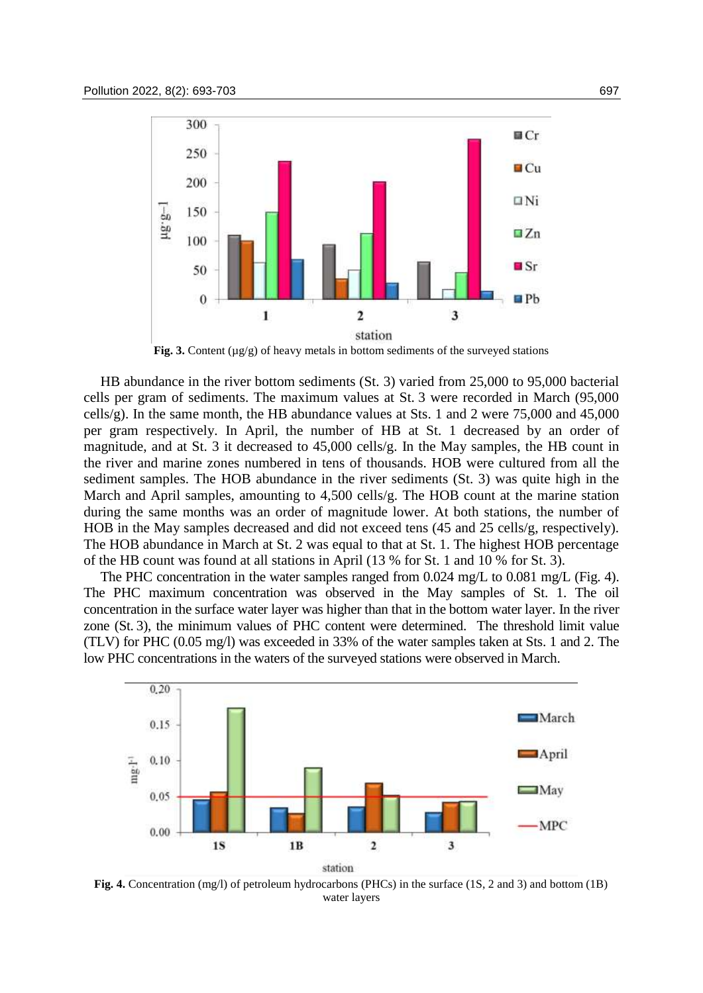

**Fig. 3.** Content (µg/g) of heavy metals in bottom sediments of the surveyed stations

HB abundance in the river bottom sediments (St. 3) varied from 25,000 to 95,000 bacterial cells per gram of sediments. The maximum values at St. 3 were recorded in March (95,000 cells/g). In the same month, the HB abundance values at Sts. 1 and 2 were 75,000 and 45,000 per gram respectively. In April, the number of HB at St. 1 decreased by an order of magnitude, and at St. 3 it decreased to 45,000 cells/g. In the May samples, the HB count in the river and marine zones numbered in tens of thousands. HOB were cultured from all the sediment samples. The HOB abundance in the river sediments (St. 3) was quite high in the March and April samples, amounting to 4,500 cells/g. The HOB count at the marine station during the same months was an order of magnitude lower. At both stations, the number of HOB in the May samples decreased and did not exceed tens (45 and 25 cells/g, respectively). The HOB abundance in March at St. 2 was equal to that at St. 1. The highest HOB percentage of the HB count was found at all stations in April (13 % for St. 1 and 10 % for St. 3).

The PHC concentration in the water samples ranged from 0.024 mg/L to 0.081 mg/L (Fig. 4). The PHC maximum concentration was observed in the May samples of St. 1. The oil concentration in the surface water layer was higher than that in the bottom water layer. In the river zone (St. 3), the minimum values of PHC content were determined. The threshold limit value (TLV) for PHC (0.05 mg/l) was exceeded in 33% of the water samples taken at Sts. 1 and 2. The low PHC concentrations in the waters of the surveyed stations were observed in March.



**Fig. 4.** Concentration (mg/l) of petroleum hydrocarbons (PHCs) in the surface (1S, 2 and 3) and bottom (1B) water layers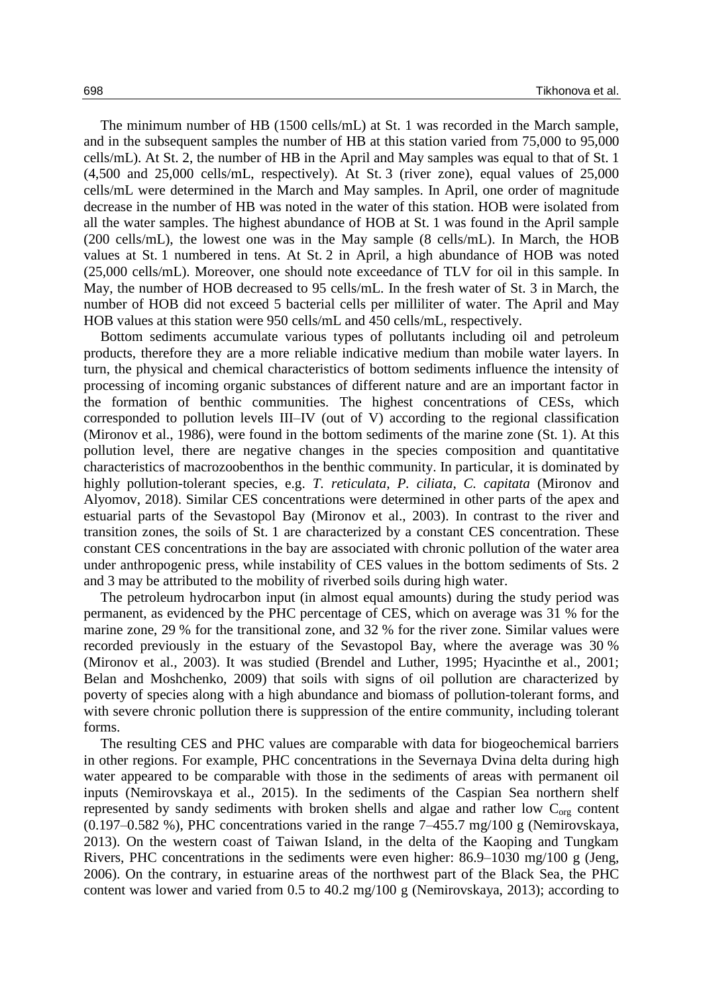The minimum number of HB (1500 cells/mL) at St. 1 was recorded in the March sample, and in the subsequent samples the number of HB at this station varied from 75,000 to 95,000 cells/mL). At St. 2, the number of HB in the April and May samples was equal to that of St. 1 (4,500 and 25,000 cells/mL, respectively). At St. 3 (river zone), equal values of 25,000 cells/mL were determined in the March and May samples. In April, one order of magnitude decrease in the number of HB was noted in the water of this station. HOB were isolated from all the water samples. The highest abundance of HOB at St. 1 was found in the April sample (200 cells/mL), the lowest one was in the May sample (8 cells/mL). In March, the HOB values at St. 1 numbered in tens. At St. 2 in April, a high abundance of HOB was noted (25,000 cells/mL). Moreover, one should note exceedance of TLV for oil in this sample. In May, the number of HOB decreased to 95 cells/mL. In the fresh water of St. 3 in March, the number of HOB did not exceed 5 bacterial cells per milliliter of water. The April and May HOB values at this station were 950 cells/mL and 450 cells/mL, respectively.

Bottom sediments accumulate various types of pollutants including oil and petroleum products, therefore they are a more reliable indicative medium than mobile water layers. In turn, the physical and chemical characteristics of bottom sediments influence the intensity of processing of incoming organic substances of different nature and are an important factor in the formation of benthic communities. The highest concentrations of CESs, which corresponded to pollution levels III–IV (out of V) according to the regional classification (Mironov et al., 1986), were found in the bottom sediments of the marine zone (St. 1). At this pollution level, there are negative changes in the species composition and quantitative characteristics of macrozoobenthos in the benthic community. In particular, it is dominated by highly pollution-tolerant species, e.g. *T. reticulata*, *P. ciliata*, *C. capitata* (Mironov and Alyomov, 2018). Similar CES concentrations were determined in other parts of the apex and estuarial parts of the Sevastopol Bay (Mironov et al., 2003). In contrast to the river and transition zones, the soils of St. 1 are characterized by a constant CES concentration. These constant CES concentrations in the bay are associated with chronic pollution of the water area under anthropogenic press, while instability of CES values in the bottom sediments of Sts. 2 and 3 may be attributed to the mobility of riverbed soils during high water.

The petroleum hydrocarbon input (in almost equal amounts) during the study period was permanent, as evidenced by the PHC percentage of CES, which on average was 31 % for the marine zone, 29 % for the transitional zone, and 32 % for the river zone. Similar values were recorded previously in the estuary of the Sevastopol Bay, where the average was 30 % (Mironov et al., 2003). It was studied (Brendel and Luther, 1995; Hyacinthe et al., 2001; Belan and Moshchenko, 2009) that soils with signs of oil pollution are characterized by poverty of species along with a high abundance and biomass of pollution-tolerant forms, and with severe chronic pollution there is suppression of the entire community, including tolerant forms.

The resulting CES and PHC values are comparable with data for biogeochemical barriers in other regions. For example, PHC concentrations in the Severnaya Dvina delta during high water appeared to be comparable with those in the sediments of areas with permanent oil inputs (Nemirovskaya et al., 2015). In the sediments of the Caspian Sea northern shelf represented by sandy sediments with broken shells and algae and rather low  $C_{org}$  content (0.197–0.582 %), PHC concentrations varied in the range 7–455.7 mg/100 g (Nemirovskaya, 2013). On the western coast of Taiwan Island, in the delta of the Kaoping and Tungkam Rivers, PHC concentrations in the sediments were even higher: 86.9–1030 mg/100 g (Jeng, 2006). On the contrary, in estuarine areas of the northwest part of the Black Sea, the PHC content was lower and varied from 0.5 to 40.2 mg/100 g (Nemirovskaya, 2013); according to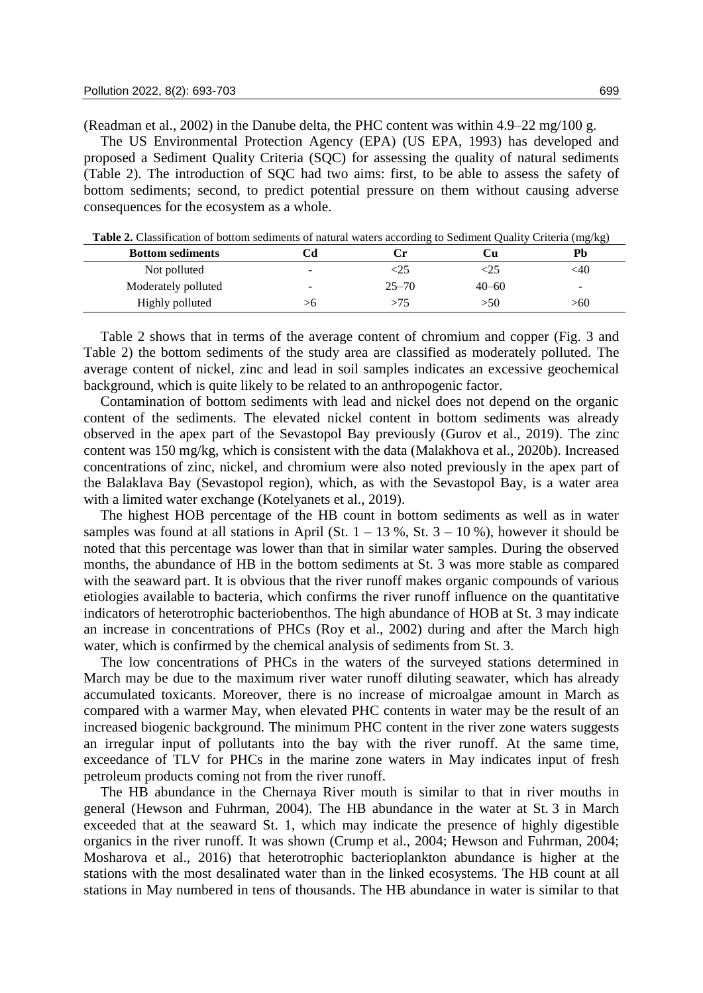(Readman et al., 2002) in the Danube delta, the PHC content was within  $4.9-22 \text{ mg}/100 \text{ g}$ .

The US Environmental Protection Agency (EPA) (US EPA, 1993) has developed and proposed a Sediment Quality Criteria (SQC) for assessing the quality of natural sediments (Table 2). The introduction of SQC had two aims: first, to be able to assess the safety of bottom sediments; second, to predict potential pressure on them without causing adverse consequences for the ecosystem as a whole.

**Table 2.** Classification of bottom sediments of natural waters according to Sediment Quality Criteria (mg/kg)

| <b>Bottom sediments</b> |   |           |           | Pb                       |
|-------------------------|---|-----------|-----------|--------------------------|
| Not polluted            | - | -25       |           | <40                      |
| Moderately polluted     | - | $25 - 70$ | $40 - 60$ | $\overline{\phantom{0}}$ |
| Highly polluted         |   | >75       | >50       | >60                      |

Table 2 shows that in terms of the average content of chromium and copper (Fig. 3 and Table 2) the bottom sediments of the study area are classified as moderately polluted. The average content of nickel, zinc and lead in soil samples indicates an excessive geochemical background, which is quite likely to be related to an anthropogenic factor.

Contamination of bottom sediments with lead and nickel does not depend on the organic content of the sediments. The elevated nickel content in bottom sediments was already observed in the apex part of the Sevastopol Bay previously (Gurov et al., 2019). The zinc content was 150 mg/kg, which is consistent with the data (Malakhova et al., 2020b). Increased concentrations of zinc, nickel, and chromium were also noted previously in the apex part of the Balaklava Bay (Sevastopol region), which, as with the Sevastopol Bay, is a water area with a limited water exchange (Kotelyanets et al., 2019).

The highest HOB percentage of the HB count in bottom sediments as well as in water samples was found at all stations in April (St.  $1 - 13$  %, St.  $3 - 10$  %), however it should be noted that this percentage was lower than that in similar water samples. During the observed months, the abundance of HB in the bottom sediments at St. 3 was more stable as compared with the seaward part. It is obvious that the river runoff makes organic compounds of various etiologies available to bacteria, which confirms the river runoff influence on the quantitative indicators of heterotrophic bacteriobenthos. The high abundance of HOB at St. 3 may indicate an increase in concentrations of PHCs (Roy et al., 2002) during and after the March high water, which is confirmed by the chemical analysis of sediments from St. 3.

The low concentrations of PHCs in the waters of the surveyed stations determined in March may be due to the maximum river water runoff diluting seawater, which has already accumulated toxicants. Moreover, there is no increase of microalgae amount in March as compared with a warmer May, when elevated PHC contents in water may be the result of an increased biogenic background. The minimum PHC content in the river zone waters suggests an irregular input of pollutants into the bay with the river runoff. At the same time, exceedance of TLV for PHCs in the marine zone waters in May indicates input of fresh petroleum products coming not from the river runoff.

The HB abundance in the Chernaya River mouth is similar to that in river mouths in general (Hewson and Fuhrman, 2004). The HB abundance in the water at St. 3 in March exceeded that at the seaward St. 1, which may indicate the presence of highly digestible organics in the river runoff. It was shown (Crump et al., 2004; Hewson and Fuhrman, 2004; Mosharova et al., 2016) that heterotrophic bacterioplankton abundance is higher at the stations with the most desalinated water than in the linked ecosystems. The HB count at all stations in May numbered in tens of thousands. The HB abundance in water is similar to that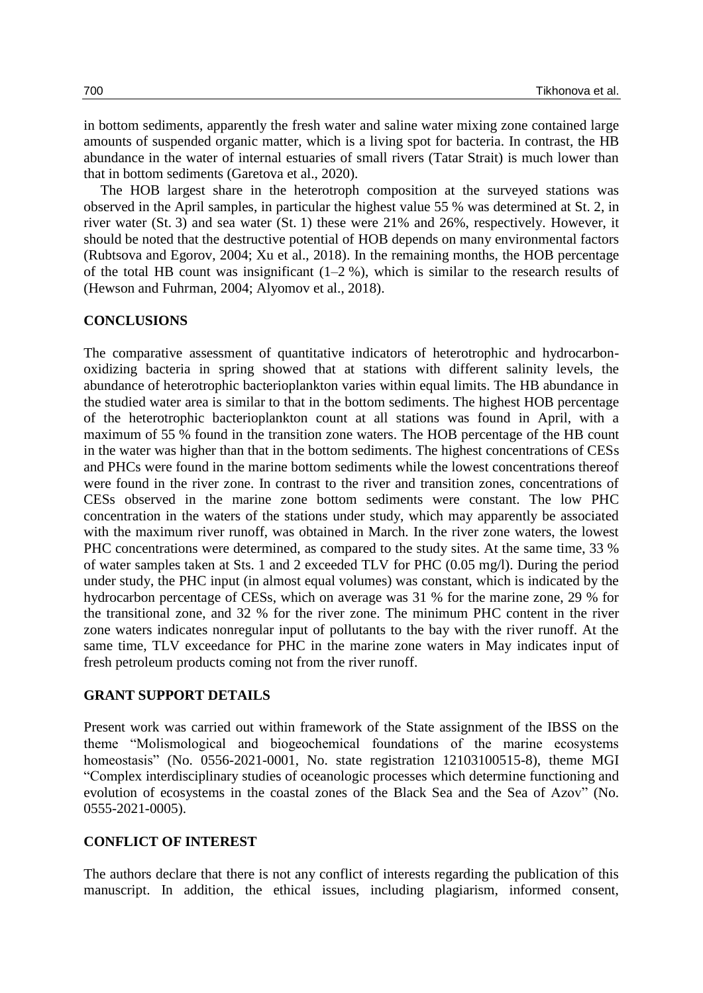in bottom sediments, apparently the fresh water and saline water mixing zone contained large amounts of suspended organic matter, which is a living spot for bacteria. In contrast, the HB abundance in the water of internal estuaries of small rivers (Tatar Strait) is much lower than that in bottom sediments (Garetova et al., 2020).

The HOB largest share in the heterotroph composition at the surveyed stations was observed in the April samples, in particular the highest value 55 % was determined at St. 2, in river water (St. 3) and sea water (St. 1) these were 21% and 26%, respectively. However, it should be noted that the destructive potential of HOB depends on many environmental factors (Rubtsova and Egorov, 2004; Xu et al., 2018). In the remaining months, the HOB percentage of the total HB count was insignificant  $(1-2\%)$ , which is similar to the research results of (Hewson and Fuhrman, 2004; Alyomov et al., 2018).

#### **CONCLUSIONS**

The comparative assessment of quantitative indicators of heterotrophic and hydrocarbonoxidizing bacteria in spring showed that at stations with different salinity levels, the abundance of heterotrophic bacterioplankton varies within equal limits. The HB abundance in the studied water area is similar to that in the bottom sediments. The highest HOB percentage of the heterotrophic bacterioplankton count at all stations was found in April, with a maximum of 55 % found in the transition zone waters. The HOB percentage of the HB count in the water was higher than that in the bottom sediments. The highest concentrations of CESs and PHCs were found in the marine bottom sediments while the lowest concentrations thereof were found in the river zone. In contrast to the river and transition zones, concentrations of CESs observed in the marine zone bottom sediments were constant. The low PHC concentration in the waters of the stations under study, which may apparently be associated with the maximum river runoff, was obtained in March. In the river zone waters, the lowest PHC concentrations were determined, as compared to the study sites. At the same time, 33 % of water samples taken at Sts. 1 and 2 exceeded TLV for PHC (0.05 mg/l). During the period under study, the PHC input (in almost equal volumes) was constant, which is indicated by the hydrocarbon percentage of CESs, which on average was 31 % for the marine zone, 29 % for the transitional zone, and 32 % for the river zone. The minimum PHC content in the river zone waters indicates nonregular input of pollutants to the bay with the river runoff. At the same time, TLV exceedance for PHC in the marine zone waters in May indicates input of fresh petroleum products coming not from the river runoff.

### **GRANT SUPPORT DETAILS**

Present work was carried out within framework of the State assignment of the IBSS on the theme "Molismological and biogeochemical foundations of the marine ecosystems homeostasis" (No. 0556-2021-0001, No. state registration 12103100515-8), theme MGI "Complex interdisciplinary studies of oceanologic processes which determine functioning and evolution of ecosystems in the coastal zones of the Black Sea and the Sea of Azov" (No. 0555-2021-0005).

### **CONFLICT OF INTEREST**

The authors declare that there is not any conflict of interests regarding the publication of this manuscript. In addition, the ethical issues, including plagiarism, informed consent,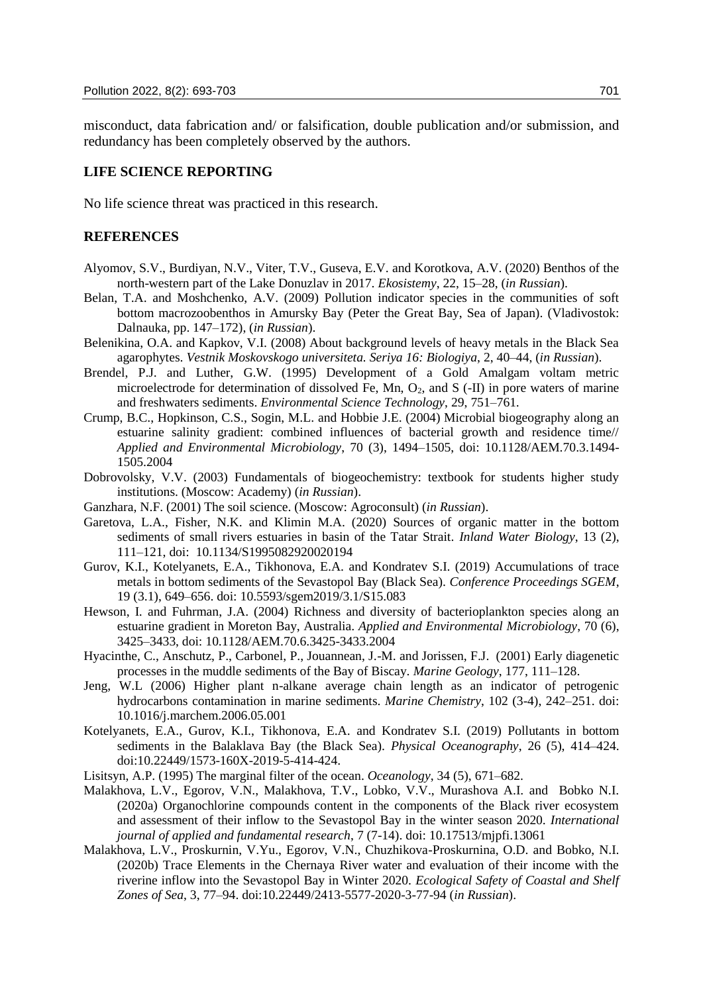misconduct, data fabrication and/ or falsification, double publication and/or submission, and redundancy has been completely observed by the authors.

#### **LIFE SCIENCE REPORTING**

No life science threat was practiced in this research.

#### **REFERENCES**

- Alyomov, S.V., Burdiyan, N.V., Viter, T.V., Guseva, E.V. and Korotkova, A.V. (2020) Benthos of the north-western part of the Lake Donuzlav in 2017. *Ekosistemy*, 22, 15–28, (*in Russian*).
- Belan, T.A. and Moshchenko, A.V. (2009) Pollution indicator species in the communities of soft bottom macrozoobenthos in Amursky Bay (Peter the Great Bay, Sea of Japan). (Vladivostok: Dalnauka, pp. 147–172), (*in Russian*).
- Belenikina, O.A. and Kapkov, V.I. (2008) About background levels of heavy metals in the Black Sea agarophytes. *Vestnik Moskovskogo universiteta. Seriya 16: Biologiya*, 2, 40–44, (*in Russian*).
- Brendel, P.J. and Luther, G.W. (1995) Development of a Gold Amalgam voltam metric microelectrode for determination of dissolved Fe, Mn,  $O_2$ , and S (-II) in pore waters of marine and freshwaters sediments. *Environmental Science Technology*, 29, 751–761.
- Crump, B.C., Hopkinson, C.S., Sogin, M.L. and Hobbie J.E. (2004) Microbial biogeography along an estuarine salinity gradient: combined influences of bacterial growth and residence time// *Applied and Environmental Microbiology*, 70 (3), 1494–1505, doi: 10.1128/AEM.70.3.1494- 1505.2004
- Dobrovolsky, V.V. (2003) Fundamentals of biogeochemistry: textbook for students higher study institutions. (Moscow: Academy) (*in Russian*).
- Ganzhara, N.F. (2001) The soil science. (Мoscow: Agroconsult) (*in Russian*).
- Garetova, L.A., Fisher, N.K. and Klimin M.A. (2020) Sources of organic matter in the bottom sediments of small rivers estuaries in basin of the Tatar Strait. *Inland Water Biology*, 13 (2), 111–121, doi: 10.1134/S1995082920020194
- Gurov, K.I., Kotelyanets, E.А., Tikhonova, E.A. and Kondratev S.I. (2019) Accumulations of trace metals in bottom sediments of the Sevastopol Bay (Black Sea). *Conference Proceedings SGEM*, 19 (3.1), 649–656. doi: 10.5593/sgem2019/3.1/S15.083
- Hewson, I. and Fuhrman, J.A. (2004) Richness and diversity of bacterioplankton species along an estuarine gradient in Moreton Bay, Australia. *Applied and Environmental Microbiology*, 70 (6), 3425–3433, doi: 10.1128/AEM.70.6.3425-3433.2004
- Hyacinthe, C., Anschutz, P., Carbonel, P., Jouannean, J.-M. and Jorissen, F.J. (2001) Early diagenetic processes in the muddle sediments of the Bay of Biscay. *Marine Geology*, 177, 111–128.
- Jeng, W.L (2006) Higher plant n-alkane average chain length as an indicator of petrogenic hydrocarbons contamination in marine sediments. *Marine Chemistry*, 102 (3-4), 242–251. doi: 10.1016/j.marchem.2006.05.001
- Kotelyanets, E.A., Gurov, K.I., Tikhonova, E.A. and Kondratev S.I. (2019) Pollutants in bottom sediments in the Balaklava Bay (the Black Sea). *Physical Oceanography*, 26 (5), 414–424. doi:10.22449/1573-160X-2019-5-414-424.
- Lisitsyn, A.P. (1995) The marginal filter of the ocean. *Oceanology*, 34 (5), 671–682.
- Malakhova, L.V., Egorov, V.N., Malakhova, T.V., Lobko, V.V., Murashova A.I. and Bobko N.I. (2020a) Organochlorine compounds content in the components of the Black river ecosystem and assessment of their inflow to the Sevastopol Bay in the winter season 2020. *International journal of applied and fundamental research*, 7 (7-14). doi: 10.17513/mjpfi.13061
- Malakhova, L.V., Proskurnin, V.Yu., Egorov, V.N., Chuzhikova-Proskurnina, O.D. and Bobko, N.I. (2020b) Trace Elements in the Chernaya River water and evaluation of their income with the riverine inflow into the Sevastopol Bay in Winter 2020. *Ecological Safety of Coastal and Shelf Zones of Sea*, 3, 77–94. doi:10.22449/2413-5577-2020-3-77-94 (*in Russian*).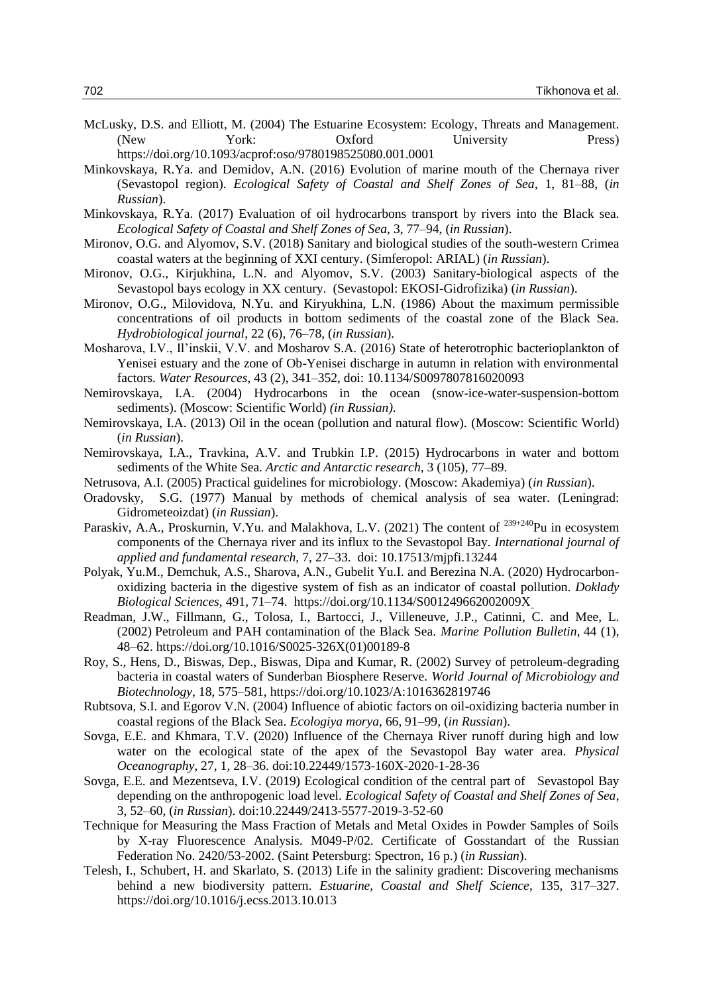- McLusky, D.S. and Elliott, M. (2004) The Estuarine Ecosystem: Ecology, Threats and Management. (New York: Oxford University Press) https://doi.org/10.1093/acprof:oso/9780198525080.001.0001
- Minkovskaya, R.Ya. and Demidov, A.N. (2016) Evolution of marine mouth of the Chernaya river (Sevastopol region). *Ecological Safety of Coastal and Shelf Zones of Sea*, 1, 81–88, (*in Russian*).
- Minkovskaya, R.Ya. (2017) Evaluation of oil hydrocarbons transport by rivers into the Black sea. *Ecological Safety of Coastal and Shelf Zones of Sea*, 3, 77–94, (*in Russian*).
- Mironov, O.G. and Alyomov, S.V. (2018) Sanitary and biological studies of the south-western Crimea coastal waters at the beginning of XXI century. (Simferopol: ARIAL) (*in Russian*).
- Mironov, O.G., Kirjukhina, L.N. and Alyomov, S.V. (2003) Sanitary-biological aspects of the Sevastopol bays ecology in XX century. (Sevastopol: EKOSI-Gidrofizika) (*in Russian*).
- Mironov, O.G., Milovidova, N.Yu. and Kiryukhina, L.N. (1986) About the maximum permissible concentrations of oil products in bottom sediments of the coastal zone of the Black Sea. *Hydrobiological journal*, 22 (6), 76–78, (*in Russian*).
- Mosharova, I.V., Il'inskii, V.V. and Mosharov S.A. (2016) State of heterotrophic bacterioplankton of Yenisei estuary and the zone of Ob-Yenisei discharge in autumn in relation with environmental factors. *Water Resources*, 43 (2), 341–352, doi: 10.1134/S0097807816020093
- Nemirovskaya, I.A. (2004) Hydrocarbons in the ocean (snow-ice-water-suspension-bottom sediments). (Moscow: Scientific World) *(in Russian)*.
- Nemirovskaya, I.A. (2013) Oil in the ocean (pollution and natural flow). (Moscow: Scientific World) (*in Russian*).
- Nemirovskaya, I.A., Travkina, A.V. and Trubkin I.P. (2015) Hydrocarbons in water and bottom sediments of the White Sea. *Arctic and Antarctic research*, 3 (105), 77–89.
- Netrusova, A.I. (2005) Practical guidelines for microbiology. (Moscow: Akademiya) (*in Russian*).
- Oradovsky, S.G. (1977) Manual by methods of chemical analysis of sea water. (Leningrad: Gidrometeoizdat) (*in Russian*).
- Paraskiv, A.A., Proskurnin, V.Yu. and Malakhova, L.V. (2021) The content of <sup>239+240</sup>Pu in ecosystem components of the Chernaya river and its influx to the Sevastopol Bay. *International journal of applied and fundamental research*, 7, 27–33. doi: 10.17513/mjpfi.13244
- Polyak, Yu.M., Demchuk, A.S., Sharova, A.N., Gubelit Yu.I. and Berezina N.A. (2020) Hydrocarbonoxidizing bacteria in the digestive system of fish as an indicator of coastal pollution. *Doklady Biological Sciences*, 491, 71–74. https://doi.org/10.1134/S001249662002009X
- Readman, J.W., Fillmann, G., Tolosa, I., Bartocci, J., Villeneuve, J.P., Catinni, C. and Mee, L. (2002) Petroleum and PAH contamination of the Black Sea. *Marine Pollution Bulletin*, 44 (1), 48–62. https://doi.org/10.1016/S0025-326X(01)00189-8
- Roy, S., Hens, D., Biswas, Dep., Biswas, Dipa and Kumar, R. (2002) Survey of petroleum-degrading bacteria in coastal waters of Sunderban Biosphere Reserve. *World Journal of Microbiology and Biotechnology*, 18, 575–581, https://doi.org/10.1023/A:1016362819746
- Rubtsova, S.I. and Egorov V.N. (2004) Influence of abiotic factors on oil-oxidizing bacteria number in coastal regions of the Black Sea. *Ecologiya morya*, 66, 91–99, (*in Russian*).
- Sovga, E.E. and Khmara, T.V. (2020) Influence of the Chernaya River runoff during high and low water on the ecological state of the apex of the Sevastopol Bay water area. *Physical Oceanography*, 27, 1, 28–36. doi:10.22449/1573-160X-2020-1-28-36
- Sovga, E.E. and Mezentseva, I.V. (2019) Ecological condition of the central part of Sevastopol Bay depending on the anthropogenic load level. *Ecological Safety of Coastal and Shelf Zones of Sea*, 3, 52–60, (*in Russian*). doi:10.22449/2413-5577-2019-3-52-60
- Technique for Measuring the Mass Fraction of Metals and Metal Oxides in Powder Samples of Soils by X-ray Fluorescence Analysis. M049-P/02. Certificate of Gosstandart of the Russian Federation No. 2420/53-2002. (Saint Petersburg: Spectron, 16 p.) (*in Russian*).
- Telesh, I., Schubert, H. and Skarlato, S. (2013) Life in the salinity gradient: Discovering mechanisms behind a new biodiversity pattern. *Estuarine, Coastal and Shelf Science*, 135, 317–327. https://doi.org/10.1016/j.ecss.2013.10.013